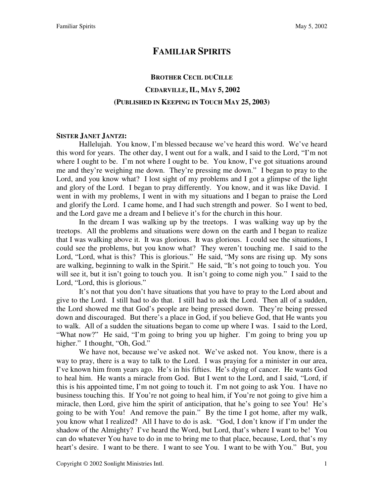## **FAMILIAR SPIRITS**

# **BROTHER CECIL DUCILLE CEDARVILLE,IL, MAY 5, 2002 (PUBLISHED IN KEEPING IN TOUCH MAY 25, 2003)**

#### **SISTER JANET JANTZI:**

Hallelujah. You know, I'm blessed because we've heard this word. We've heard this word for years. The other day, I went out for a walk, and I said to the Lord, "I'm not where I ought to be. I'm not where I ought to be. You know, I've got situations around me and they're weighing me down. They're pressing me down." I began to pray to the Lord, and you know what? I lost sight of my problems and I got a glimpse of the light and glory of the Lord. I began to pray differently. You know, and it was like David. I went in with my problems, I went in with my situations and I began to praise the Lord and glorify the Lord. I came home, and I had such strength and power. So I went to bed, and the Lord gave me a dream and I believe it's for the church in this hour.

In the dream I was walking up by the treetops. I was walking way up by the treetops. All the problems and situations were down on the earth and I began to realize that I was walking above it. It was glorious. It was glorious. I could see the situations, I could see the problems, but you know what? They weren't touching me. I said to the Lord, "Lord, what is this? This is glorious." He said, "My sons are rising up. My sons are walking, beginning to walk in the Spirit." He said, "It's not going to touch you. You will see it, but it isn't going to touch you. It isn't going to come nigh you." I said to the Lord, "Lord, this is glorious."

It's not that you don't have situations that you have to pray to the Lord about and give to the Lord. I still had to do that. I still had to ask the Lord. Then all of a sudden, the Lord showed me that God's people are being pressed down. They're being pressed down and discouraged. But there's a place in God, if you believe God, that He wants you to walk. All of a sudden the situations began to come up where I was. I said to the Lord, "What now?" He said, "I'm going to bring you up higher. I'm going to bring you up higher." I thought, "Oh, God."

We have not, because we've asked not. We've asked not. You know, there is a way to pray, there is a way to talk to the Lord. I was praying for a minister in our area, I've known him from years ago. He's in his fifties. He's dying of cancer. He wants God to heal him. He wants a miracle from God. But I went to the Lord, and I said, "Lord, if this is his appointed time, I'm not going to touch it. I'm not going to ask You. I have no business touching this. If You're not going to heal him, if You're not going to give him a miracle, then Lord, give him the spirit of anticipation, that he's going to see You! He's going to be with You! And remove the pain." By the time I got home, after my walk, you know what I realized? All I have to do is ask. "God, I don't know if I'm under the shadow of the Almighty? I've heard the Word, but Lord, that's where I want to be! You can do whatever You have to do in me to bring me to that place, because, Lord, that's my heart's desire. I want to be there. I want to see You. I want to be with You." But, you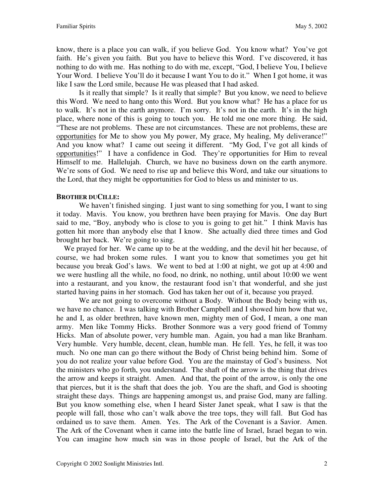know, there is a place you can walk, if you believe God. You know what? You've got faith. He's given you faith. But you have to believe this Word. I've discovered, it has nothing to do with me. Has nothing to do with me, except, "God, I believe You, I believe Your Word. I believe You'll do it because I want You to do it." When I got home, it was like I saw the Lord smile, because He was pleased that I had asked.

Is it really that simple? Is it really that simple? But you know, we need to believe this Word. We need to hang onto this Word. But you know what? He has a place for us to walk. It's not in the earth anymore. I'm sorry. It's not in the earth. It's in the high place, where none of this is going to touch you. He told me one more thing. He said, "These are not problems. These are not circumstances. These are not problems, these are opportunities for Me to show you My power, My grace, My healing, My deliverance!" And you know what? I came out seeing it different. "My God, I've got all kinds of opportunities!" I have a confidence in God. They're opportunities for Him to reveal Himself to me. Hallelujah. Church, we have no business down on the earth anymore. We're sons of God. We need to rise up and believe this Word, and take our situations to the Lord, that they might be opportunities for God to bless us and minister to us.

## **BROTHER DUCILLE:**

We haven't finished singing. I just want to sing something for you, I want to sing it today. Mavis. You know, you brethren have been praying for Mavis. One day Burt said to me, "Boy, anybody who is close to you is going to get hit." I think Mavis has gotten hit more than anybody else that I know. She actually died three times and God brought her back. We're going to sing.

 We prayed for her. We came up to be at the wedding, and the devil hit her because, of course, we had broken some rules. I want you to know that sometimes you get hit because you break God's laws. We went to bed at 1:00 at night, we got up at 4:00 and we were hustling all the while, no food, no drink, no nothing, until about 10:00 we went into a restaurant, and you know, the restaurant food isn't that wonderful, and she just started having pains in her stomach. God has taken her out of it, because you prayed.

We are not going to overcome without a Body. Without the Body being with us, we have no chance. I was talking with Brother Campbell and I showed him how that we, he and I, as older brethren, have known men, mighty men of God, I mean, a one man army. Men like Tommy Hicks. Brother Sonmore was a very good friend of Tommy Hicks. Man of absolute power, very humble man. Again, you had a man like Branham. Very humble. Very humble, decent, clean, humble man. He fell. Yes, he fell, it was too much. No one man can go there without the Body of Christ being behind him. Some of you do not realize your value before God. You are the mainstay of God's business. Not the ministers who go forth, you understand. The shaft of the arrow is the thing that drives the arrow and keeps it straight. Amen. And that, the point of the arrow, is only the one that pierces, but it is the shaft that does the job. You are the shaft, and God is shooting straight these days. Things are happening amongst us, and praise God, many are falling. But you know something else, when I heard Sister Janet speak, what I saw is that the people will fall, those who can't walk above the tree tops, they will fall. But God has ordained us to save them. Amen. Yes. The Ark of the Covenant is a Savior. Amen. The Ark of the Covenant when it came into the battle line of Israel, Israel began to win. You can imagine how much sin was in those people of Israel, but the Ark of the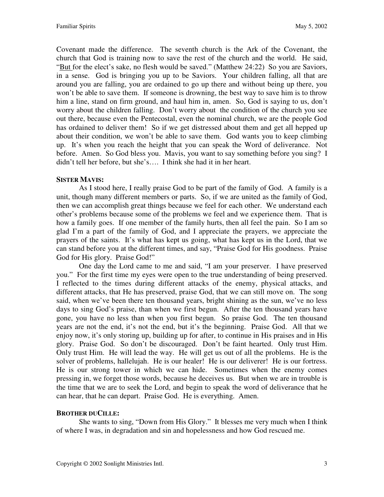Covenant made the difference. The seventh church is the Ark of the Covenant, the church that God is training now to save the rest of the church and the world. He said, "But for the elect's sake, no flesh would be saved." (Matthew 24:22) So you are Saviors, in a sense. God is bringing you up to be Saviors. Your children falling, all that are around you are falling, you are ordained to go up there and without being up there, you won't be able to save them. If someone is drowning, the best way to save him is to throw him a line, stand on firm ground, and haul him in, amen. So, God is saying to us, don't worry about the children falling. Don't worry about the condition of the church you see out there, because even the Pentecostal, even the nominal church, we are the people God has ordained to deliver them! So if we get distressed about them and get all hepped up about their condition, we won't be able to save them. God wants you to keep climbing up. It's when you reach the height that you can speak the Word of deliverance. Not before. Amen. So God bless you. Mavis, you want to say something before you sing? I didn't tell her before, but she's…. I think she had it in her heart.

### **SISTER MAVIS:**

As I stood here, I really praise God to be part of the family of God. A family is a unit, though many different members or parts. So, if we are united as the family of God, then we can accomplish great things because we feel for each other. We understand each other's problems because some of the problems we feel and we experience them. That is how a family goes. If one member of the family hurts, then all feel the pain. So I am so glad I'm a part of the family of God, and I appreciate the prayers, we appreciate the prayers of the saints. It's what has kept us going, what has kept us in the Lord, that we can stand before you at the different times, and say, "Praise God for His goodness. Praise God for His glory. Praise God!"

One day the Lord came to me and said, "I am your preserver. I have preserved you." For the first time my eyes were open to the true understanding of being preserved. I reflected to the times during different attacks of the enemy, physical attacks, and different attacks, that He has preserved, praise God, that we can still move on. The song said, when we've been there ten thousand years, bright shining as the sun, we've no less days to sing God's praise, than when we first begun. After the ten thousand years have gone, you have no less than when you first begun. So praise God. The ten thousand years are not the end, it's not the end, but it's the beginning. Praise God. All that we enjoy now, it's only storing up, building up for after, to continue in His praises and in His glory. Praise God. So don't be discouraged. Don't be faint hearted. Only trust Him. Only trust Him. He will lead the way. He will get us out of all the problems. He is the solver of problems, hallelujah. He is our healer! He is our deliverer! He is our fortress. He is our strong tower in which we can hide. Sometimes when the enemy comes pressing in, we forget those words, because he deceives us. But when we are in trouble is the time that we are to seek the Lord, and begin to speak the word of deliverance that he can hear, that he can depart. Praise God. He is everything. Amen.

## **BROTHER DUCILLE:**

She wants to sing, "Down from His Glory." It blesses me very much when I think of where I was, in degradation and sin and hopelessness and how God rescued me.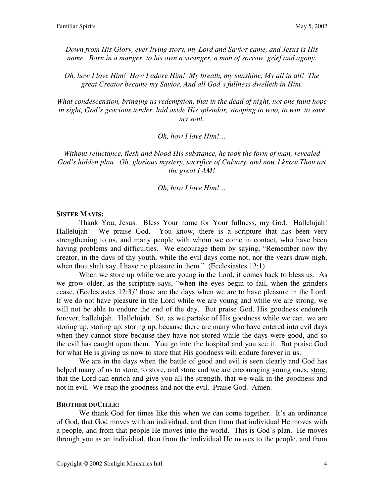*Down from His Glory, ever living story, my Lord and Savior came, and Jesus is His name. Born in a manger, to his own a stranger, a man of sorrow, grief and agony.* 

*Oh, how I love Him! How I adore Him! My breath, my sunshine, My all in all! The great Creator became my Savior, And all God's fullness dwelleth in Him.* 

*What condescension, bringing us redemption, that in the dead of night, not one faint hope in sight, God's gracious tender, laid aside His splendor, stooping to woo, to win, to save my soul.* 

*Oh, how I love Him!…* 

*Without reluctance, flesh and blood His substance, he took the form of man, revealed God's hidden plan. Oh, glorious mystery, sacrifice of Calvary, and now I know Thou art the great I AM!* 

*Oh, how I love Him!…* 

#### **SISTER MAVIS:**

Thank You, Jesus. Bless Your name for Your fullness, my God. Hallelujah! Hallelujah! We praise God. You know, there is a scripture that has been very strengthening to us, and many people with whom we come in contact, who have been having problems and difficulties. We encourage them by saying, "Remember now thy creator, in the days of thy youth, while the evil days come not, nor the years draw nigh, when thou shalt say, I have no pleasure in them." (Ecclesiastes 12:1)

When we store up while we are young in the Lord, it comes back to bless us. As we grow older, as the scripture says, "when the eyes begin to fail, when the grinders cease, (Ecclesiastes 12:3)" those are the days when we are to have pleasure in the Lord. If we do not have pleasure in the Lord while we are young and while we are strong, we will not be able to endure the end of the day. But praise God, His goodness endureth forever, hallelujah. Hallelujah. So, as we partake of His goodness while we can, we are storing up, storing up, storing up, because there are many who have entered into evil days when they cannot store because they have not stored while the days were good, and so the evil has caught upon them. You go into the hospital and you see it. But praise God for what He is giving us now to store that His goodness will endure forever in us.

We are in the days when the battle of good and evil is seen clearly and God has helped many of us to store, to store, and store and we are encouraging young ones, store, that the Lord can enrich and give you all the strength, that we walk in the goodness and not in evil. We reap the goodness and not the evil. Praise God. Amen.

#### **BROTHER DUCILLE:**

We thank God for times like this when we can come together. It's an ordinance of God, that God moves with an individual, and then from that individual He moves with a people, and from that people He moves into the world. This is God's plan. He moves through you as an individual, then from the individual He moves to the people, and from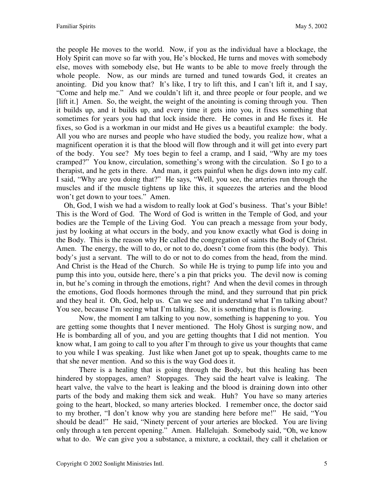the people He moves to the world. Now, if you as the individual have a blockage, the Holy Spirit can move so far with you, He's blocked, He turns and moves with somebody else, moves with somebody else, but He wants to be able to move freely through the whole people. Now, as our minds are turned and tuned towards God, it creates an anointing. Did you know that? It's like, I try to lift this, and I can't lift it, and I say, "Come and help me." And we couldn't lift it, and three people or four people, and we [lift it.] Amen. So, the weight, the weight of the anointing is coming through you. Then it builds up, and it builds up, and every time it gets into you, it fixes something that sometimes for years you had that lock inside there. He comes in and He fixes it. He fixes, so God is a workman in our midst and He gives us a beautiful example: the body. All you who are nurses and people who have studied the body, you realize how, what a magnificent operation it is that the blood will flow through and it will get into every part of the body. You see? My toes begin to feel a cramp, and I said, "Why are my toes cramped?" You know, circulation, something's wrong with the circulation. So I go to a therapist, and he gets in there. And man, it gets painful when he digs down into my calf. I said, "Why are you doing that?" He says, "Well, you see, the arteries run through the muscles and if the muscle tightens up like this, it squeezes the arteries and the blood won't get down to your toes." Amen.

 Oh, God, I wish we had a wisdom to really look at God's business. That's your Bible! This is the Word of God. The Word of God is written in the Temple of God, and your bodies are the Temple of the Living God. You can preach a message from your body, just by looking at what occurs in the body, and you know exactly what God is doing in the Body. This is the reason why He called the congregation of saints the Body of Christ. Amen. The energy, the will to do, or not to do, doesn't come from this (the body). This body's just a servant. The will to do or not to do comes from the head, from the mind. And Christ is the Head of the Church. So while He is trying to pump life into you and pump this into you, outside here, there's a pin that pricks you. The devil now is coming in, but he's coming in through the emotions, right? And when the devil comes in through the emotions, God floods hormones through the mind, and they surround that pin prick and they heal it. Oh, God, help us. Can we see and understand what I'm talking about? You see, because I'm seeing what I'm talking. So, it is something that is flowing.

 Now, the moment I am talking to you now, something is happening to you. You are getting some thoughts that I never mentioned. The Holy Ghost is surging now, and He is bombarding all of you, and you are getting thoughts that I did not mention. You know what, I am going to call to you after I'm through to give us your thoughts that came to you while I was speaking. Just like when Janet got up to speak, thoughts came to me that she never mention. And so this is the way God does it.

There is a healing that is going through the Body, but this healing has been hindered by stoppages, amen? Stoppages. They said the heart valve is leaking. The heart valve, the valve to the heart is leaking and the blood is draining down into other parts of the body and making them sick and weak. Huh? You have so many arteries going to the heart, blocked, so many arteries blocked. I remember once, the doctor said to my brother, "I don't know why you are standing here before me!" He said, "You should be dead!" He said, "Ninety percent of your arteries are blocked. You are living only through a ten percent opening." Amen. Hallelujah. Somebody said, "Oh, we know what to do. We can give you a substance, a mixture, a cocktail, they call it chelation or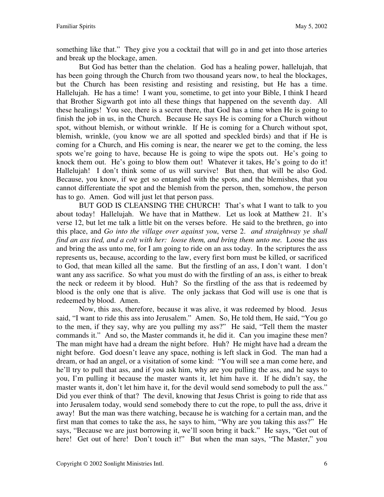something like that." They give you a cocktail that will go in and get into those arteries and break up the blockage, amen.

 But God has better than the chelation. God has a healing power, hallelujah, that has been going through the Church from two thousand years now, to heal the blockages, but the Church has been resisting and resisting and resisting, but He has a time. Hallelujah. He has a time! I want you, sometime, to get into your Bible, I think I heard that Brother Sigwarth got into all these things that happened on the seventh day. All these healings! You see, there is a secret there, that God has a time when He is going to finish the job in us, in the Church. Because He says He is coming for a Church without spot, without blemish, or without wrinkle. If He is coming for a Church without spot, blemish, wrinkle, (you know we are all spotted and speckled birds) and that if He is coming for a Church, and His coming is near, the nearer we get to the coming, the less spots we're going to have, because He is going to wipe the spots out. He's going to knock them out. He's going to blow them out! Whatever it takes, He's going to do it! Hallelujah! I don't think some of us will survive! But then, that will be also God. Because, you know, if we get so entangled with the spots, and the blemishes, that you cannot differentiate the spot and the blemish from the person, then, somehow, the person has to go. Amen. God will just let that person pass.

BUT GOD IS CLEANSING THE CHURCH! That's what I want to talk to you about today! Hallelujah. We have that in Matthew. Let us look at Matthew 21. It's verse 12, but let me talk a little bit on the verses before. He said to the brethren, go into this place, and *Go into the village over against you*, verse 2. *and straightway ye shall find an ass tied, and a colt with her: loose them, and bring them unto me. Loose the ass* and bring the ass unto me, for I am going to ride on an ass today. In the scriptures the ass represents us, because, according to the law, every first born must be killed, or sacrificed to God, that mean killed all the same. But the firstling of an ass, I don't want. I don't want any ass sacrifice. So what you must do with the firstling of an ass, is either to break the neck or redeem it by blood. Huh? So the firstling of the ass that is redeemed by blood is the only one that is alive. The only jackass that God will use is one that is redeemed by blood. Amen.

Now, this ass, therefore, because it was alive, it was redeemed by blood. Jesus said, "I want to ride this ass into Jerusalem." Amen. So, He told them, He said, "You go to the men, if they say, why are you pulling my ass?" He said, "Tell them the master commands it." And so, the Master commands it, he did it. Can you imagine these men? The man might have had a dream the night before. Huh? He might have had a dream the night before. God doesn't leave any space, nothing is left slack in God. The man had a dream, or had an angel, or a visitation of some kind: "You will see a man come here, and he'll try to pull that ass, and if you ask him, why are you pulling the ass, and he says to you, I'm pulling it because the master wants it, let him have it. If he didn't say, the master wants it, don't let him have it, for the devil would send somebody to pull the ass." Did you ever think of that? The devil, knowing that Jesus Christ is going to ride that ass into Jerusalem today, would send somebody there to cut the rope, to pull the ass, drive it away! But the man was there watching, because he is watching for a certain man, and the first man that comes to take the ass, he says to him, "Why are you taking this ass?" He says, "Because we are just borrowing it, we'll soon bring it back." He says, "Get out of here! Get out of here! Don't touch it!" But when the man says, "The Master," you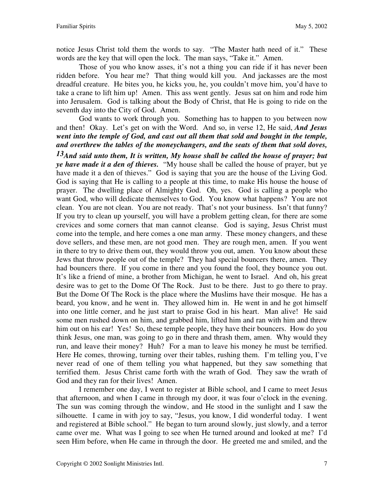notice Jesus Christ told them the words to say. "The Master hath need of it." These words are the key that will open the lock. The man says, "Take it." Amen.

Those of you who know asses, it's not a thing you can ride if it has never been ridden before. You hear me? That thing would kill you. And jackasses are the most dreadful creature. He bites you, he kicks you, he, you couldn't move him, you'd have to take a crane to lift him up! Amen. This ass went gently. Jesus sat on him and rode him into Jerusalem. God is talking about the Body of Christ, that He is going to ride on the seventh day into the City of God. Amen.

 God wants to work through you. Something has to happen to you between now and then! Okay. Let's get on with the Word. And so, in verse 12, He said, *And Jesus went into the temple of God, and cast out all them that sold and bought in the temple, and overthrew the tables of the moneychangers, and the seats of them that sold doves,* 

*13And said unto them, It is written, My house shall be called the house of prayer; but ye have made it a den of thieves.* "My house shall be called the house of prayer, but ye have made it a den of thieves." God is saying that you are the house of the Living God. God is saying that He is calling to a people at this time, to make His house the house of prayer. The dwelling place of Almighty God. Oh, yes. God is calling a people who want God, who will dedicate themselves to God. You know what happens? You are not clean. You are not clean. You are not ready. That's not your business. Isn't that funny? If you try to clean up yourself, you will have a problem getting clean, for there are some crevices and some corners that man cannot cleanse. God is saying, Jesus Christ must come into the temple, and here comes a one man army. These money changers, and these dove sellers, and these men, are not good men. They are rough men, amen. If you went in there to try to drive them out, they would throw you out, amen. You know about these Jews that throw people out of the temple? They had special bouncers there, amen. They had bouncers there. If you come in there and you found the fool, they bounce you out. It's like a friend of mine, a brother from Michigan, he went to Israel. And oh, his great desire was to get to the Dome Of The Rock. Just to be there. Just to go there to pray. But the Dome Of The Rock is the place where the Muslims have their mosque. He has a beard, you know, and he went in. They allowed him in. He went in and he got himself into one little corner, and he just start to praise God in his heart. Man alive! He said some men rushed down on him, and grabbed him, lifted him and ran with him and threw him out on his ear! Yes! So, these temple people, they have their bouncers. How do you think Jesus, one man, was going to go in there and thrash them, amen. Why would they run, and leave their money? Huh? For a man to leave his money he must be terrified. Here He comes, throwing, turning over their tables, rushing them. I'm telling you, I've never read of one of them telling you what happened, but they saw something that terrified them. Jesus Christ came forth with the wrath of God. They saw the wrath of God and they ran for their lives! Amen.

I remember one day, I went to register at Bible school, and I came to meet Jesus that afternoon, and when I came in through my door, it was four o'clock in the evening. The sun was coming through the window, and He stood in the sunlight and I saw the silhouette. I came in with joy to say, "Jesus, you know, I did wonderful today. I went and registered at Bible school." He began to turn around slowly, just slowly, and a terror came over me. What was I going to see when He turned around and looked at me? I'd seen Him before, when He came in through the door. He greeted me and smiled, and the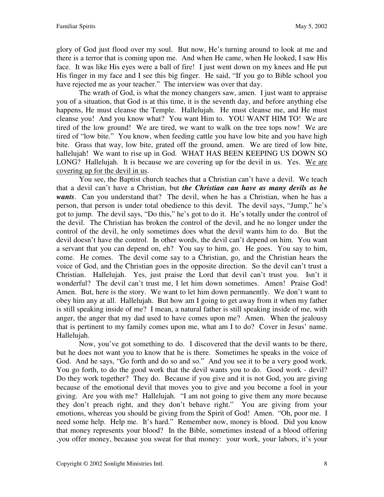glory of God just flood over my soul. But now, He's turning around to look at me and there is a terror that is coming upon me. And when He came, when He looked, I saw His face. It was like His eyes were a ball of fire! I just went down on my knees and He put His finger in my face and I see this big finger. He said, "If you go to Bible school you have rejected me as your teacher." The interview was over that day.

The wrath of God, is what the money changers saw, amen. I just want to appraise you of a situation, that God is at this time, it is the seventh day, and before anything else happens, He must cleanse the Temple. Hallelujah. He must cleanse me, and He must cleanse you! And you know what? You want Him to. YOU WANT HIM TO! We are tired of the low ground! We are tired, we want to walk on the tree tops now! We are tired of "low bite." You know, when feeding cattle you have low bite and you have high bite. Grass that way, low bite, grated off the ground, amen. We are tired of low bite, hallelujah! We want to rise up in God. WHAT HAS BEEN KEEPING US DOWN SO LONG? Hallelujah. It is because we are covering up for the devil in us. Yes. We are covering up for the devil in us.

You see, the Baptist church teaches that a Christian can't have a devil. We teach that a devil can't have a Christian, but *the Christian can have as many devils as he wants*. Can you understand that? The devil, when he has a Christian, when he has a person, that person is under total obedience to this devil. The devil says, "Jump," he's got to jump. The devil says, "Do this," he's got to do it. He's totally under the control of the devil. The Christian has broken the control of the devil, and he no longer under the control of the devil, he only sometimes does what the devil wants him to do. But the devil doesn't have the control. In other words, the devil can't depend on him. You want a servant that you can depend on, eh? You say to him, go. He goes. You say to him, come. He comes. The devil come say to a Christian, go, and the Christian hears the voice of God, and the Christian goes in the opposite direction. So the devil can't trust a Christian. Hallelujah. Yes, just praise the Lord that devil can't trust you. Isn't it wonderful? The devil can't trust me, I let him down sometimes. Amen! Praise God! Amen. But, here is the story. We want to let him down permanently. We don't want to obey him any at all. Hallelujah. But how am I going to get away from it when my father is still speaking inside of me? I mean, a natural father is still speaking inside of me, with anger, the anger that my dad used to have comes upon me? Amen. When the jealousy that is pertinent to my family comes upon me, what am I to do? Cover in Jesus' name. Hallelujah.

Now, you've got something to do. I discovered that the devil wants to be there, but he does not want you to know that he is there. Sometimes he speaks in the voice of God. And he says, "Go forth and do so and so." And you see it to be a very good work. You go forth, to do the good work that the devil wants you to do. Good work - devil? Do they work together? They do. Because if you give and it is not God, you are giving because of the emotional devil that moves you to give and you become a fool in your giving. Are you with me? Hallelujah. "I am not going to give them any more because they don't preach right, and they don't behave right." You are giving from your emotions, whereas you should be giving from the Spirit of God! Amen. "Oh, poor me. I need some help. Help me. It's hard." Remember now, money is blood. Did you know that money represents your blood? In the Bible, sometimes instead of a blood offering ,you offer money, because you sweat for that money: your work, your labors, it's your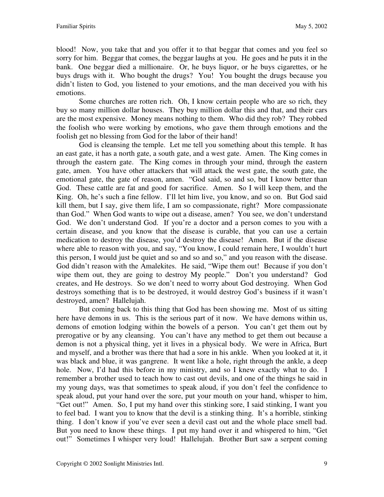blood! Now, you take that and you offer it to that beggar that comes and you feel so sorry for him. Beggar that comes, the beggar laughs at you. He goes and he puts it in the bank. One beggar died a millionaire. Or, he buys liquor, or he buys cigarettes, or he buys drugs with it. Who bought the drugs? You! You bought the drugs because you didn't listen to God, you listened to your emotions, and the man deceived you with his emotions.

Some churches are rotten rich. Oh, I know certain people who are so rich, they buy so many million dollar houses. They buy million dollar this and that, and their cars are the most expensive. Money means nothing to them. Who did they rob? They robbed the foolish who were working by emotions, who gave them through emotions and the foolish get no blessing from God for the labor of their hand!

God is cleansing the temple. Let me tell you something about this temple. It has an east gate, it has a north gate, a south gate, and a west gate. Amen. The King comes in through the eastern gate. The King comes in through your mind, through the eastern gate, amen. You have other attackers that will attack the west gate, the south gate, the emotional gate, the gate of reason, amen. "God said, so and so, but I know better than God. These cattle are fat and good for sacrifice. Amen. So I will keep them, and the King. Oh, he's such a fine fellow. I'll let him live, you know, and so on. But God said kill them, but I say, give them life, I am so compassionate, right? More compassionate than God." When God wants to wipe out a disease, amen? You see, we don't understand God. We don't understand God. If you're a doctor and a person comes to you with a certain disease, and you know that the disease is curable, that you can use a certain medication to destroy the disease, you'd destroy the disease! Amen. But if the disease where able to reason with you, and say, "You know, I could remain here, I wouldn't hurt this person, I would just be quiet and so and so and so," and you reason with the disease. God didn't reason with the Amalekites. He said, "Wipe them out! Because if you don't wipe them out, they are going to destroy My people." Don't you understand? God creates, and He destroys. So we don't need to worry about God destroying. When God destroys something that is to be destroyed, it would destroy God's business if it wasn't destroyed, amen? Hallelujah.

But coming back to this thing that God has been showing me. Most of us sitting here have demons in us. This is the serious part of it now. We have demons within us, demons of emotion lodging within the bowels of a person. You can't get them out by prerogative or by any cleansing. You can't have any method to get them out because a demon is not a physical thing, yet it lives in a physical body. We were in Africa, Burt and myself, and a brother was there that had a sore in his ankle. When you looked at it, it was black and blue, it was gangrene. It went like a hole, right through the ankle, a deep hole. Now, I'd had this before in my ministry, and so I knew exactly what to do. I remember a brother used to teach how to cast out devils, and one of the things he said in my young days, was that sometimes to speak aloud, if you don't feel the confidence to speak aloud, put your hand over the sore, put your mouth on your hand, whisper to him, "Get out!" Amen. So, I put my hand over this stinking sore, I said stinking, I want you to feel bad. I want you to know that the devil is a stinking thing. It's a horrible, stinking thing. I don't know if you've ever seen a devil cast out and the whole place smell bad. But you need to know these things. I put my hand over it and whispered to him, "Get out!" Sometimes I whisper very loud! Hallelujah. Brother Burt saw a serpent coming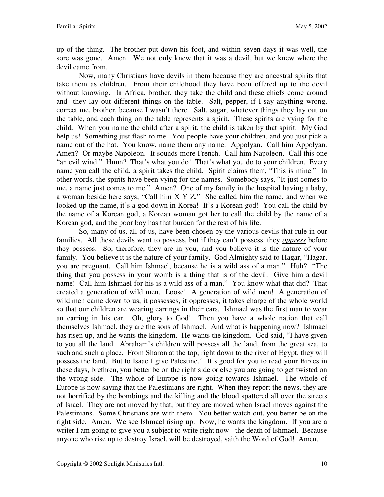up of the thing. The brother put down his foot, and within seven days it was well, the sore was gone. Amen. We not only knew that it was a devil, but we knew where the devil came from.

Now, many Christians have devils in them because they are ancestral spirits that take them as children. From their childhood they have been offered up to the devil without knowing. In Africa, brother, they take the child and these chiefs come around and they lay out different things on the table. Salt, pepper, if I say anything wrong, correct me, brother, because I wasn't there. Salt, sugar, whatever things they lay out on the table, and each thing on the table represents a spirit. These spirits are vying for the child. When you name the child after a spirit, the child is taken by that spirit. My God help us! Something just flash to me. You people have your children, and you just pick a name out of the hat. You know, name them any name. Appolyan. Call him Appolyan. Amen? Or maybe Napoleon. It sounds more French. Call him Napoleon. Call this one "an evil wind." Hmm? That's what you do! That's what you do to your children. Every name you call the child, a spirit takes the child. Spirit claims them, "This is mine." In other words, the spirits have been vying for the names. Somebody says, "It just comes to me, a name just comes to me." Amen? One of my family in the hospital having a baby, a woman beside here says, "Call him X Y Z." She called him the name, and when we looked up the name, it's a god down in Korea! It's a Korean god! You call the child by the name of a Korean god, a Korean woman got her to call the child by the name of a Korean god, and the poor boy has that burden for the rest of his life.

So, many of us, all of us, have been chosen by the various devils that rule in our families. All these devils want to possess, but if they can't possess, they *oppress* before they possess. So, therefore, they are in you, and you believe it is the nature of your family. You believe it is the nature of your family. God Almighty said to Hagar, "Hagar, you are pregnant. Call him Ishmael, because he is a wild ass of a man." Huh? "The thing that you possess in your womb is a thing that is of the devil. Give him a devil name! Call him Ishmael for his is a wild ass of a man." You know what that did? That created a generation of wild men. Loose! A generation of wild men! A generation of wild men came down to us, it possesses, it oppresses, it takes charge of the whole world so that our children are wearing earrings in their ears. Ishmael was the first man to wear an earring in his ear. Oh, glory to God! Then you have a whole nation that call themselves Ishmael, they are the sons of Ishmael. And what is happening now? Ishmael has risen up, and he wants the kingdom. He wants the kingdom. God said, "I have given to you all the land. Abraham's children will possess all the land, from the great sea, to such and such a place. From Sharon at the top, right down to the river of Egypt, they will possess the land. But to Isaac I give Palestine." It's good for you to read your Bibles in these days, brethren, you better be on the right side or else you are going to get twisted on the wrong side. The whole of Europe is now going towards Ishmael. The whole of Europe is now saying that the Palestinians are right. When they report the news, they are not horrified by the bombings and the killing and the blood spattered all over the streets of Israel. They are not moved by that, but they are moved when Israel moves against the Palestinians. Some Christians are with them. You better watch out, you better be on the right side. Amen. We see Ishmael rising up. Now, he wants the kingdom. If you are a writer I am going to give you a subject to write right now - the death of Ishmael. Because anyone who rise up to destroy Israel, will be destroyed, saith the Word of God! Amen.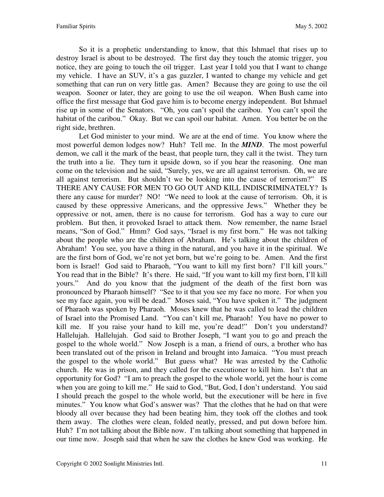So it is a prophetic understanding to know, that this Ishmael that rises up to destroy Israel is about to be destroyed. The first day they touch the atomic trigger, you notice, they are going to touch the oil trigger. Last year I told you that I want to change my vehicle. I have an SUV, it's a gas guzzler, I wanted to change my vehicle and get something that can run on very little gas. Amen? Because they are going to use the oil weapon. Sooner or later, they are going to use the oil weapon. When Bush came into office the first message that God gave him is to become energy independent. But Ishmael rise up in some of the Senators. "Oh, you can't spoil the caribou. You can't spoil the habitat of the caribou." Okay. But we can spoil our habitat. Amen. You better be on the right side, brethren.

Let God minister to your mind. We are at the end of time. You know where the most powerful demon lodges now? Huh? Tell me. In the *MIND*. The most powerful demon, we call it the mark of the beast, that people turn, they call it the twist. They turn the truth into a lie. They turn it upside down, so if you hear the reasoning. One man come on the television and he said, "Surely, yes, we are all against terrorism. Oh, we are all against terrorism. But shouldn't we be looking into the cause of terrorism?" IS THERE ANY CAUSE FOR MEN TO GO OUT AND KILL INDISCRIMINATELY? Is there any cause for murder? NO! "We need to look at the cause of terrorism. Oh, it is caused by these oppressive Americans, and the oppressive Jews." Whether they be oppressive or not, amen, there is no cause for terrorism. God has a way to cure our problem. But then, it provoked Israel to attack them. Now remember, the name Israel means, "Son of God." Hmm? God says, "Israel is my first born." He was not talking about the people who are the children of Abraham. He's talking about the children of Abraham! You see, you have a thing in the natural, and you have it in the spiritual. We are the first born of God, we're not yet born, but we're going to be. Amen. And the first born is Israel! God said to Pharaoh, "You want to kill my first born? I'll kill yours." You read that in the Bible? It's there. He said, "If you want to kill my first born, I'll kill yours." And do you know that the judgment of the death of the first born was pronounced by Pharaoh himself? "See to it that you see my face no more. For when you see my face again, you will be dead." Moses said, "You have spoken it." The judgment of Pharaoh was spoken by Pharaoh. Moses knew that he was called to lead the children of Israel into the Promised Land. "You can't kill me, Pharaoh! You have no power to kill me. If you raise your hand to kill me, you're dead!" Don't you understand? Hallelujah. Hallelujah. God said to Brother Joseph, "I want you to go and preach the gospel to the whole world." Now Joseph is a man, a friend of ours, a brother who has been translated out of the prison in Ireland and brought into Jamaica. "You must preach the gospel to the whole world." But guess what? He was arrested by the Catholic church. He was in prison, and they called for the executioner to kill him. Isn't that an opportunity for God? "I am to preach the gospel to the whole world, yet the hour is come when you are going to kill me." He said to God, "But, God, I don't understand. You said I should preach the gospel to the whole world, but the executioner will be here in five minutes." You know what God's answer was? That the clothes that he had on that were bloody all over because they had been beating him, they took off the clothes and took them away. The clothes were clean, folded neatly, pressed, and put down before him. Huh? I'm not talking about the Bible now. I'm talking about something that happened in our time now. Joseph said that when he saw the clothes he knew God was working. He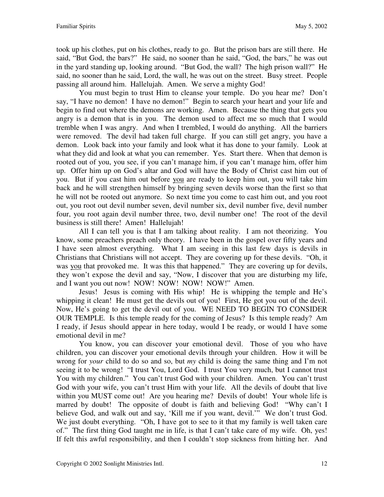took up his clothes, put on his clothes, ready to go. But the prison bars are still there. He said, "But God, the bars?" He said, no sooner than he said, "God, the bars," he was out in the yard standing up, looking around. "But God, the wall? The high prison wall?" He said, no sooner than he said, Lord, the wall, he was out on the street. Busy street. People passing all around him. Hallelujah. Amen. We serve a mighty God!

You must begin to trust Him to cleanse your temple. Do you hear me? Don't say, "I have no demon! I have no demon!" Begin to search your heart and your life and begin to find out where the demons are working. Amen. Because the thing that gets you angry is a demon that is in you. The demon used to affect me so much that I would tremble when I was angry. And when I trembled, I would do anything. All the barriers were removed. The devil had taken full charge. If you can still get angry, you have a demon. Look back into your family and look what it has done to your family. Look at what they did and look at what you can remember. Yes. Start there. When that demon is rooted out of you, you see, if you can't manage him, if you can't manage him, offer him up. Offer him up on God's altar and God will have the Body of Christ cast him out of you. But if you cast him out before you are ready to keep him out, you will take him back and he will strengthen himself by bringing seven devils worse than the first so that he will not be rooted out anymore. So next time you come to cast him out, and you root out, you root out devil number seven, devil number six, devil number five, devil number four, you root again devil number three, two, devil number one! The root of the devil business is still there! Amen! Hallelujah!

All I can tell you is that I am talking about reality. I am not theorizing. You know, some preachers preach only theory. I have been in the gospel over fifty years and I have seen almost everything. What I am seeing in this last few days is devils in Christians that Christians will not accept. They are covering up for these devils. "Oh, it was you that provoked me. It was this that happened." They are covering up for devils, they won't expose the devil and say, "Now, I discover that you are disturbing my life, and I want you out now! NOW! NOW! NOW! NOW!" Amen.

Jesus! Jesus is coming with His whip! He is whipping the temple and He's whipping it clean! He must get the devils out of you! First, He got you out of the devil. Now, He's going to get the devil out of you. WE NEED TO BEGIN TO CONSIDER OUR TEMPLE. Is this temple ready for the coming of Jesus? Is this temple ready? Am I ready, if Jesus should appear in here today, would I be ready, or would I have some emotional devil in me?

You know, you can discover your emotional devil. Those of you who have children, you can discover your emotional devils through your children. How it will be wrong for *your* child to do so and so, but *my* child is doing the same thing and I'm not seeing it to be wrong! "I trust You, Lord God. I trust You very much, but I cannot trust You with my children." You can't trust God with your children. Amen. You can't trust God with your wife, you can't trust Him with your life. All the devils of doubt that live within you MUST come out! Are you hearing me? Devils of doubt! Your whole life is marred by doubt! The opposite of doubt is faith and believing God! "Why can't I believe God, and walk out and say, 'Kill me if you want, devil.'" We don't trust God. We just doubt everything. "Oh, I have got to see to it that my family is well taken care of." The first thing God taught me in life, is that I can't take care of my wife. Oh, yes! If felt this awful responsibility, and then I couldn't stop sickness from hitting her. And